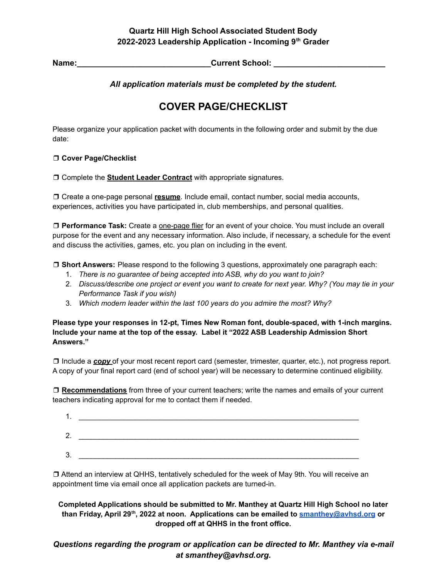#### **Quartz Hill High School Associated Student Body 2022-2023 Leadership Application - Incoming 9 th Grader**

**Name:\_\_\_\_\_\_\_\_\_\_\_\_\_\_\_\_\_\_\_\_\_\_\_\_\_\_\_\_\_\_Current School: \_\_\_\_\_\_\_\_\_\_\_\_\_\_\_\_\_\_\_\_\_\_\_\_\_**

*All application materials must be completed by the student.*

# **COVER PAGE/CHECKLIST**

Please organize your application packet with documents in the following order and submit by the due date:

#### ❒ **Cover Page/Checklist**

❒ Complete the **Student Leader Contract** with appropriate signatures.

❒ Create a one-page personal **resume**. Include email, contact number, social media accounts, experiences, activities you have participated in, club memberships, and personal qualities.

❒ **Performance Task:** Create a one-page flier for an event of your choice. You must include an overall purpose for the event and any necessary information. Also include, if necessary, a schedule for the event and discuss the activities, games, etc. you plan on including in the event.

❒ **Short Answers:** Please respond to the following 3 questions, approximately one paragraph each:

- 1. *There is no guarantee of being accepted into ASB, why do you want to join?*
- 2. Discuss/describe one project or event you want to create for next year. Why? (You may tie in your *Performance Task if you wish)*
- 3. *Which modern leader within the last 100 years do you admire the most? Why?*

**Please type your responses in 12-pt, Times New Roman font, double-spaced, with 1-inch margins. Include your name at the top of the essay. Label it "2022 ASB Leadership Admission Short Answers."**

❒ Include a *copy* of your most recent report card (semester, trimester, quarter, etc.), not progress report. A copy of your final report card (end of school year) will be necessary to determine continued eligibility.

❒ **Recommendations** from three of your current teachers; write the names and emails of your current teachers indicating approval for me to contact them if needed.

| . .           |  |
|---------------|--|
| ົ<br><u>.</u> |  |
| 2<br>J.       |  |

❒ Attend an interview at QHHS, tentatively scheduled for the week of May 9th. You will receive an appointment time via email once all application packets are turned-in.

**Completed Applications should be submitted to Mr. Manthey at Quartz Hill High School no later than Friday, April 29 th , 2022 at noon. Applications can be emailed to [smanthey@avhsd.org](mailto:smanthey@avhsd.org) or dropped off at QHHS in the front office.**

# *Questions regarding the program or application can be directed to Mr. Manthey via e-mail at smanthey@avhsd.org.*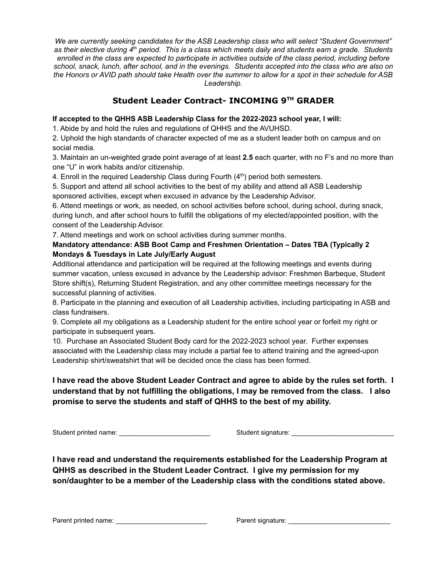*We are currently seeking candidates for the ASB Leadership class who will select "Student Government"* as their elective during 4th period. This is a class which meets daily and students earn a grade. Students enrolled in the class are expected to participate in activities outside of the class period, including before school, snack, lunch, after school, and in the evenings. Students accepted into the class who are also on the Honors or AVID path should take Health over the summer to allow for a spot in their schedule for ASB *Leadership.*

# **Student Leader Contract- INCOMING 9 TH GRADER**

#### **If accepted to the QHHS ASB Leadership Class for the 2022-2023 school year, I will:**

1. Abide by and hold the rules and regulations of QHHS and the AVUHSD.

2. Uphold the high standards of character expected of me as a student leader both on campus and on social media.

3. Maintain an un-weighted grade point average of at least **2.5** each quarter, with no F's and no more than one "U" in work habits and/or citizenship.

4. Enroll in the required Leadership Class during Fourth (4<sup>th</sup>) period both semesters.

5. Support and attend all school activities to the best of my ability and attend all ASB Leadership sponsored activities, except when excused in advance by the Leadership Advisor.

6. Attend meetings or work, as needed, on school activities before school, during school, during snack, during lunch, and after school hours to fulfill the obligations of my elected/appointed position, with the consent of the Leadership Advisor.

7. Attend meetings and work on school activities during summer months.

#### **Mandatory attendance: ASB Boot Camp and Freshmen Orientation – Dates TBA (Typically 2 Mondays & Tuesdays in Late July/Early August**

Additional attendance and participation will be required at the following meetings and events during summer vacation, unless excused in advance by the Leadership advisor: Freshmen Barbeque, Student Store shift(s), Returning Student Registration, and any other committee meetings necessary for the successful planning of activities.

8. Participate in the planning and execution of all Leadership activities, including participating in ASB and class fundraisers.

9. Complete all my obligations as a Leadership student for the entire school year or forfeit my right or participate in subsequent years.

10. Purchase an Associated Student Body card for the 2022-2023 school year. Further expenses associated with the Leadership class may include a partial fee to attend training and the agreed-upon Leadership shirt/sweatshirt that will be decided once the class has been formed.

# **I have read the above Student Leader Contract and agree to abide by the rules set forth. I understand that by not fulfilling the obligations, I may be removed from the class. I also promise to serve the students and staff of QHHS to the best of my ability.**

Student printed name: \_\_\_\_\_\_\_\_\_\_\_\_\_\_\_\_\_\_\_\_\_\_\_\_\_ Student signature: \_\_\_\_\_\_\_\_\_\_\_\_\_\_\_\_\_\_\_\_\_\_\_\_\_\_\_\_

**I have read and understand the requirements established for the Leadership Program at QHHS as described in the Student Leader Contract. I give my permission for my son/daughter to be a member of the Leadership class with the conditions stated above.**

Parent printed name: \_\_\_\_\_\_\_\_\_\_\_\_\_\_\_\_\_\_\_\_\_\_\_\_\_ Parent signature: \_\_\_\_\_\_\_\_\_\_\_\_\_\_\_\_\_\_\_\_\_\_\_\_\_\_\_\_